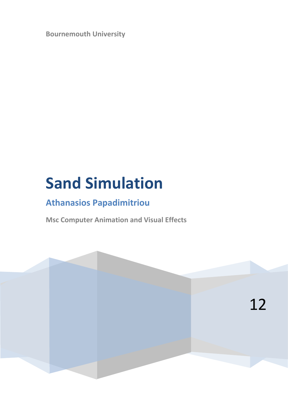**Bournemouth University**

# **Sand Simulation**

# **Athanasios Papadimitriou**

**Msc Computer Animation and Visual Effects**

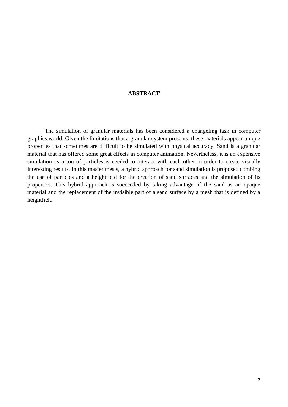# **ABSTRACT**

The simulation of granular materials has been considered a changeling task in computer graphics world. Given the limitations that a granular system presents, these materials appear unique properties that sometimes are difficult to be simulated with physical accuracy. Sand is a granular material that has offered some great effects in computer animation. Nevertheless, it is an expensive simulation as a ton of particles is needed to interact with each other in order to create visually interesting results. In this master thesis, a hybrid approach for sand simulation is proposed combing the use of particles and a heightfield for the creation of sand surfaces and the simulation of its properties. This hybrid approach is succeeded by taking advantage of the sand as an opaque material and the replacement of the invisible part of a sand surface by a mesh that is defined by a heightfield.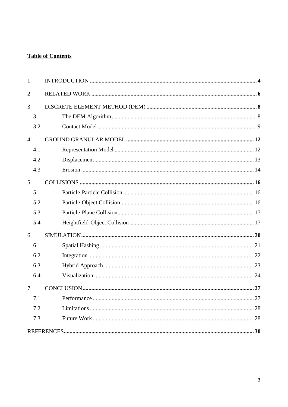# **Table of Contents**

| $\mathbf{1}$   |    |
|----------------|----|
| $\overline{2}$ |    |
| 3              |    |
| 3.1            |    |
| 3.2            |    |
| $\overline{4}$ |    |
| 4.1            |    |
| 4.2            |    |
| 4.3            |    |
| 5              |    |
| 5.1            |    |
| 5.2            |    |
| 5.3            |    |
| 5.4            |    |
| 6              |    |
| 6.1            |    |
| 6.2            |    |
| 6.3            |    |
| 6.4            |    |
| 7              |    |
| 7.1            | 27 |
| 7.2            |    |
| 7.3            |    |
|                |    |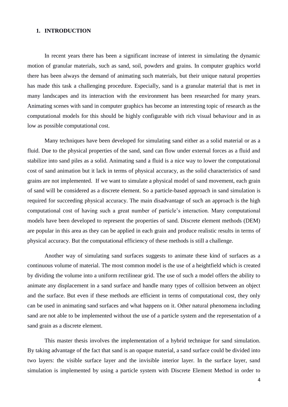# **1. INTRODUCTION**

In recent years there has been a significant increase of interest in simulating the dynamic motion of granular materials, such as sand, soil, powders and grains. In computer graphics world there has been always the demand of animating such materials, but their unique natural properties has made this task a challenging procedure. Especially, sand is a granular material that is met in many landscapes and its interaction with the environment has been researched for many years. Animating scenes with sand in computer graphics has become an interesting topic of research as the computational models for this should be highly configurable with rich visual behaviour and in as low as possible computational cost.

Many techniques have been developed for simulating sand either as a solid material or as a fluid. Due to the physical properties of the sand, sand can flow under external forces as a fluid and stabilize into sand piles as a solid. Animating sand a fluid is a nice way to lower the computational cost of sand animation but it lack in terms of physical accuracy, as the solid characteristics of sand grains are not implemented. If we want to simulate a physical model of sand movement, each grain of sand will be considered as a discrete element. So a particle-based approach in sand simulation is required for succeeding physical accuracy. The main disadvantage of such an approach is the high computational cost of having such a great number of particle's interaction. Many computational models have been developed to represent the properties of sand. Discrete element methods (DEM) are popular in this area as they can be applied in each grain and produce realistic results in terms of physical accuracy. But the computational efficiency of these methods is still a challenge.

Another way of simulating sand surfaces suggests to animate these kind of surfaces as a continuous volume of material. The most common model is the use of a heightfield which is created by dividing the volume into a uniform rectilinear grid. The use of such a model offers the ability to animate any displacement in a sand surface and handle many types of collision between an object and the surface. But even if these methods are efficient in terms of computational cost, they only can be used in animating sand surfaces and what happens on it. Other natural phenomena including sand are not able to be implemented without the use of a particle system and the representation of a sand grain as a discrete element.

This master thesis involves the implementation of a hybrid technique for sand simulation. By taking advantage of the fact that sand is an opaque material, a sand surface could be divided into two layers: the visible surface layer and the invisible interior layer. In the surface layer, sand simulation is implemented by using a particle system with Discrete Element Method in order to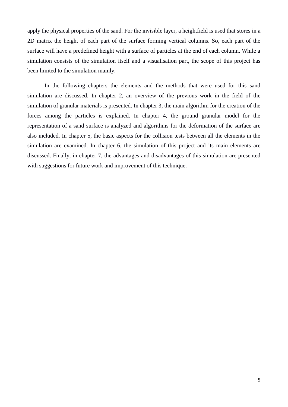apply the physical properties of the sand. For the invisible layer, a heightfield is used that stores in a 2D matrix the height of each part of the surface forming vertical columns. So, each part of the surface will have a predefined height with a surface of particles at the end of each column. While a simulation consists of the simulation itself and a visualisation part, the scope of this project has been limited to the simulation mainly.

In the following chapters the elements and the methods that were used for this sand simulation are discussed. In chapter 2, an overview of the previous work in the field of the simulation of granular materials is presented. In chapter 3, the main algorithm for the creation of the forces among the particles is explained. In chapter 4, the ground granular model for the representation of a sand surface is analyzed and algorithms for the deformation of the surface are also included. In chapter 5, the basic aspects for the collision tests between all the elements in the simulation are examined. In chapter 6, the simulation of this project and its main elements are discussed. Finally, in chapter 7, the advantages and disadvantages of this simulation are presented with suggestions for future work and improvement of this technique.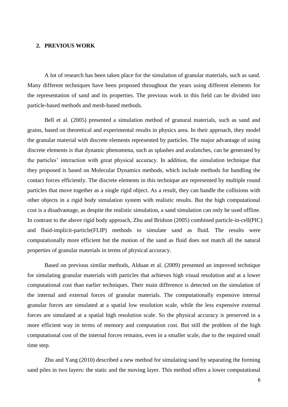# **2. PREVIOUS WORK**

A lot of research has been taken place for the simulation of granular materials, such as sand. Many different techniques have been proposed throughout the years using different elements for the representation of sand and its properties. The previous work in this field can be divided into particle-based methods and mesh-based methods.

Bell et al. (2005) presented a simulation method of granural materials, such as sand and grains, based on theoretical and experimental results in physics area. In their approach, they model the granular material with discrete elements represented by particles. The major advantage of using discrete elements is that dynamic phenomena, such as splashes and avalanches, can be generated by the particles' interaction with great physical accuracy. In addition, the simulation technique that they proposed is based on Molecular Dynamics methods, which include methods for handling the contact forces efficiently. The discrete elements in this technique are represented by multiple round particles that move together as a single rigid object. As a result, they can handle the collisions with other objects in a rigid body simulation system with realistic results. But the high computational cost is a disadvantage, as despite the realistic simulation, a sand simulation can only be used offline. In contrast to the above rigid body approach, Zhu and Bridson (2005) combined particle-in-cell(PIC) and fluid-implicit-particle(FLIP) methods to simulate sand as fluid. The results were computationally more efficient but the motion of the sand as fluid does not match all the natural properties of granular materials in terms of physical accuracy.

Based on previous similar methods, Alduan et al. (2009) presented an improved technique for simulating granular materials with particles that achieves high visual resolution and at a lower computational cost than earlier techniques. Their main difference is detected on the simulation of the internal and external forces of granular materials. The computationally expensive internal granular forces are simulated at a spatial low resolution scale, while the less expensive external forces are simulated at a spatial high resolution scale. So the physical accuracy is preserved in a more efficient way in terms of memory and computation cost. But still the problem of the high computational cost of the internal forces remains, even in a smaller scale, due to the required small time step.

Zhu and Yang (2010) described a new method for simulating sand by separating the forming sand piles in two layers: the static and the moving layer. This method offers a lower computational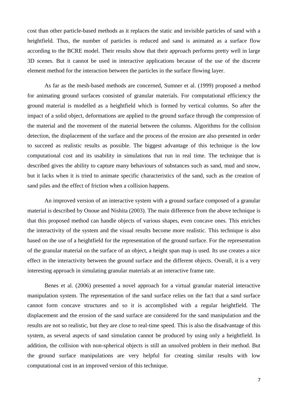cost than other particle-based methods as it replaces the static and invisible particles of sand with a heightfield. Thus, the number of particles is reduced and sand is animated as a surface flow according to the BCRE model. Their results show that their approach performs pretty well in large 3D scenes. But it cannot be used in interactive applications because of the use of the discrete element method for the interaction between the particles in the surface flowing layer.

As far as the mesh-based methods are concerned, Sumner et al. (1999) proposed a method for animating ground surfaces consisted of granular materials. For computational efficiency the ground material is modelled as a heightfield which is formed by vertical columns. So after the impact of a solid object, deformations are applied to the ground surface through the compression of the material and the movement of the material between the columns. Algorithms for the collision detection, the displacement of the surface and the process of the erosion are also presented in order to succeed as realistic results as possible. The biggest advantage of this technique is the low computational cost and its usability in simulations that run in real time. The technique that is described gives the ability to capture many behaviours of substances such as sand, mud and snow, but it lacks when it is tried to animate specific characteristics of the sand, such as the creation of sand piles and the effect of friction when a collision happens.

An improved version of an interactive system with a ground surface composed of a granular material is described by Onoue and Nishita (2003). The main difference from the above technique is that this proposed method can handle objects of various shapes, even concave ones. This enriches the interactivity of the system and the visual results become more realistic. This technique is also based on the use of a heightfield for the representation of the ground surface. For the representation of the granular material on the surface of an object, a height span map is used. Its use creates a nice effect in the interactivity between the ground surface and the different objects. Overall, it is a very interesting approach in simulating granular materials at an interactive frame rate.

Benes et al. (2006) presented a novel approach for a virtual granular material interactive manipulation system. The representation of the sand surface relies on the fact that a sand surface cannot form concave structures and so it is accomplished with a regular heightfield. The displacement and the erosion of the sand surface are considered for the sand manipulation and the results are not so realistic, but they are close to real-time speed. This is also the disadvantage of this system, as several aspects of sand simulation cannot be produced by using only a heightfield. In addition, the collision with non-spherical objects is still an unsolved problem in their method. But the ground surface manipulations are very helpful for creating similar results with low computational cost in an improved version of this technique.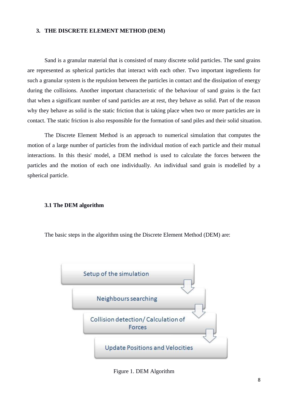#### **3. THE DISCRETE ELEMENT METHOD (DEM)**

Sand is a granular material that is consisted of many discrete solid particles. The sand grains are represented as spherical particles that interact with each other. Two important ingredients for such a granular system is the repulsion between the particles in contact and the dissipation of energy during the collisions. Another important characteristic of the behaviour of sand grains is the fact that when a significant number of sand particles are at rest, they behave as solid. Part of the reason why they behave as solid is the static friction that is taking place when two or more particles are in contact. The static friction is also responsible for the formation of sand piles and their solid situation.

The Discrete Element Method is an approach to numerical simulation that computes the motion of a large number of particles from the individual motion of each particle and their mutual interactions. In this thesis' model, a DEM method is used to calculate the forces between the particles and the motion of each one individually. An individual sand grain is modelled by a spherical particle.

#### **3.1 The DEM algorithm**

The basic steps in the algorithm using the Discrete Element Method (DEM) are:



Figure 1. DEM Algorithm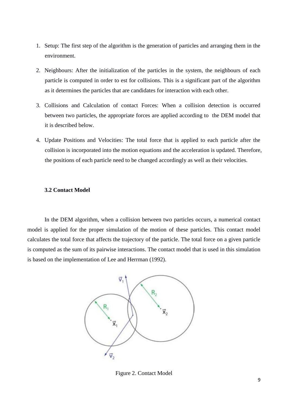- 1. Setup: The first step of the algorithm is the generation of particles and arranging them in the environment.
- 2. Neighbours: After the initialization of the particles in the system, the neighbours of each particle is computed in order to est for collisions. This is a significant part of the algorithm as it determines the particles that are candidates for interaction with each other.
- 3. Collisions and Calculation of contact Forces: When a collision detection is occurred between two particles, the appropriate forces are applied according to the DEM model that it is described below.
- 4. Update Positions and Velocities: The total force that is applied to each particle after the collision is incorporated into the motion equations and the acceleration is updated. Therefore, the positions of each particle need to be changed accordingly as well as their velocities.

#### **3.2 Contact Model**

In the DEM algorithm, when a collision between two particles occurs, a numerical contact model is applied for the proper simulation of the motion of these particles. This contact model calculates the total force that affects the trajectory of the particle. The total force on a given particle is computed as the sum of its pairwise interactions. The contact model that is used in this simulation is based on the implementation of Lee and Herrman (1992).



Figure 2. Contact Model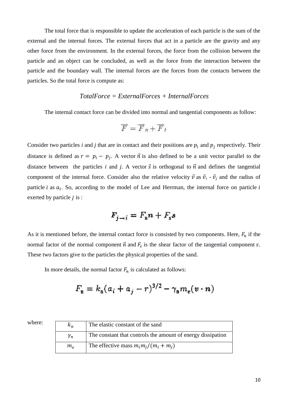The total force that is responsible to update the acceleration of each particle is the sum of the external and the internal forces. The external forces that act in a particle are the gravity and any other force from the environment. In the external forces, the force from the collision between the particle and an object can be concluded, as well as the force from the interaction between the particle and the boundary wall. The internal forces are the forces from the contacts between the particles. So the total force is compute as:

# *TotalForce = ExternalForces + InternalForces*

The internal contact force can be divided into normal and tangential components as follow:

$$
\overrightarrow{F} = \overrightarrow{F}_n + \overrightarrow{F}_t
$$

Consider two particles *i* and *j* that are in contact and their positions are  $p_i$  and  $p_j$  respectively. Their distance is defined as  $r = p_i - p_j$ . A vector  $\vec{n}$  is also defined to be a unit vector parallel to the distance between the particles *i* and *j*. A vector  $\vec{s}$  is orthogonal to  $\vec{n}$  and defines the tangential component of the internal force. Consider also the relative velocity  $\vec{v}$  as  $\vec{v}_i$  -  $\vec{v}_j$  and the radius of particle i as  $a_i$ . So, according to the model of Lee and Herrman, the internal force on particle exerted by particle  $j$  is :

$$
F_{j \to i} = F_{\rm n} n + F_{\rm s} s
$$

As it is mentioned before, the internal contact force is consisted by two components. Here,  $F_n$  if the normal factor of the normal component  $\vec{n}$  and  $F_s$  is the shear factor of the tangential component s. These two factors give to the particles the physical properties of the sand.

In more details, the normal factor  $F_n$  is calculated as follows:

$$
F_{\mathbf{n}}=k_{\mathbf{n}}(a_i+a_j-r)^{3/2}-\gamma_{\mathbf{n}}m_{\mathbf{e}}(\mathbf{v}\cdot\mathbf{n})
$$

| where: | $\kappa_n$      | The elastic constant of the sand                            |
|--------|-----------------|-------------------------------------------------------------|
|        | $\mathcal{V}_n$ | The constant that controls the amount of energy dissipation |
|        | $m_e$           | The effective mass $m_i m_j/(m_i + m_j)$                    |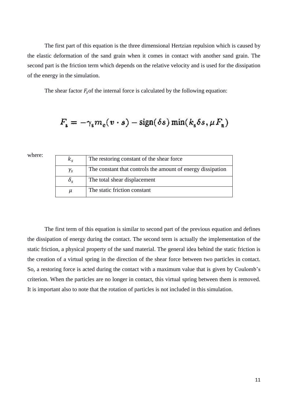The first part of this equation is the three dimensional Hertzian repulsion which is caused by the elastic deformation of the sand grain when it comes in contact with another sand grain. The second part is the friction term which depends on the relative velocity and is used for the dissipation of the energy in the simulation.

The shear factor  $F<sub>s</sub>$  of the internal force is calculated by the following equation:

$$
F_{s} = -\gamma_{s} m_{e}(v \cdot s) - sign(\delta s) \min(k_{s} \delta s, \mu F_{n})
$$

where:

| $K_{S}$          | The restoring constant of the shear force                   |
|------------------|-------------------------------------------------------------|
| $\gamma_{\rm s}$ | The constant that controls the amount of energy dissipation |
| $\delta_{\rm s}$ | The total shear displacement                                |
| $\mu$            | The static friction constant                                |

The first term of this equation is similar to second part of the previous equation and defines the dissipation of energy during the contact. The second term is actually the implementation of the static friction, a physical property of the sand material. The general idea behind the static friction is the creation of a virtual spring in the direction of the shear force between two particles in contact. So, a restoring force is acted during the contact with a maximum value that is given by Coulomb's criterion. When the particles are no longer in contact, this virtual spring between them is removed. It is important also to note that the rotation of particles is not included in this simulation.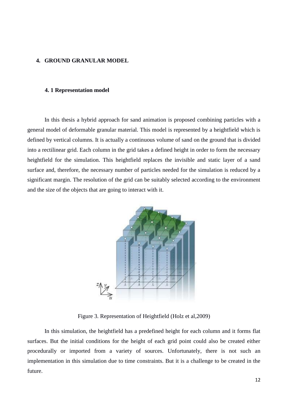#### **4. GROUND GRANULAR MODEL**

## **4. 1 Representation model**

In this thesis a hybrid approach for sand animation is proposed combining particles with a general model of deformable granular material. This model is represented by a heightfield which is defined by vertical columns. It is actually a continuous volume of sand on the ground that is divided into a rectilinear grid. Each column in the grid takes a defined height in order to form the necessary heightfield for the simulation. This heightfield replaces the invisible and static layer of a sand surface and, therefore, the necessary number of particles needed for the simulation is reduced by a significant margin. The resolution of the grid can be suitably selected according to the environment and the size of the objects that are going to interact with it.



Figure 3. Representation of Heightfield (Holz et al,2009)

In this simulation, the heightfield has a predefined height for each column and it forms flat surfaces. But the initial conditions for the height of each grid point could also be created either procedurally or imported from a variety of sources. Unfortunately, there is not such an implementation in this simulation due to time constraints. But it is a challenge to be created in the future.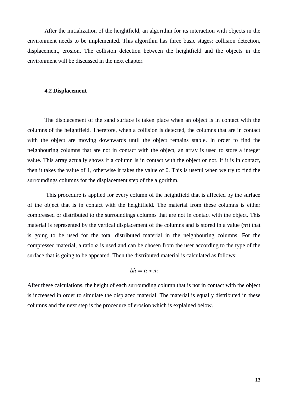After the initialization of the heightfield, an algorithm for its interaction with objects in the environment needs to be implemented. This algorithm has three basic stages: collision detection, displacement, erosion. The collision detection between the heightfield and the objects in the environment will be discussed in the next chapter.

#### **4.2 Displacement**

The displacement of the sand surface is taken place when an object is in contact with the columns of the heightfield. Therefore, when a collision is detected, the columns that are in contact with the object are moving downwards until the object remains stable. In order to find the neighbouring columns that are not in contact with the object, an array is used to store a integer value. This array actually shows if a column is in contact with the object or not. If it is in contact, then it takes the value of 1, otherwise it takes the value of 0. This is useful when we try to find the surroundings columns for the displacement step of the algorithm.

This procedure is applied for every column of the heightfield that is affected by the surface of the object that is in contact with the heightfield. The material from these columns is either compressed or distributed to the surroundings columns that are not in contact with the object. This material is represented by the vertical displacement of the columns and is stored in a value  $(m)$  that is going to be used for the total distributed material in the neighbouring columns. For the compressed material, a ratio  $\alpha$  is used and can be chosen from the user according to the type of the surface that is going to be appeared. Then the distributed material is calculated as follows:

# $\Delta h = \alpha * m$

After these calculations, the height of each surrounding column that is not in contact with the object is increased in order to simulate the displaced material. The material is equally distributed in these columns and the next step is the procedure of erosion which is explained below.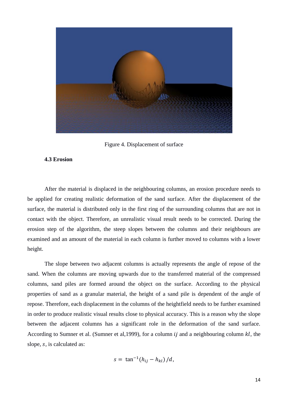

Figure 4. Displacement of surface

#### **4.3 Erosion**

After the material is displaced in the neighbouring columns, an erosion procedure needs to be applied for creating realistic deformation of the sand surface. After the displacement of the surface, the material is distributed only in the first ring of the surrounding columns that are not in contact with the object. Therefore, an unrealistic visual result needs to be corrected. During the erosion step of the algorithm, the steep slopes between the columns and their neighbours are examined and an amount of the material in each column is further moved to columns with a lower height.

The slope between two adjacent columns is actually represents the angle of repose of the sand. When the columns are moving upwards due to the transferred material of the compressed columns, sand piles are formed around the object on the surface. According to the physical properties of sand as a granular material, the height of a sand pile is dependent of the angle of repose. Therefore, each displacement in the columns of the heightfield needs to be further examined in order to produce realistic visual results close to physical accuracy. This is a reason why the slope between the adjacent columns has a significant role in the deformation of the sand surface. According to Sumner et al. (Sumner et al, 1999), for a column  $ij$  and a neighbouring column  $kl$ , the slope, s, is calculated as:

$$
s = \tan^{-1}(h_{ij} - h_{kl})/d,
$$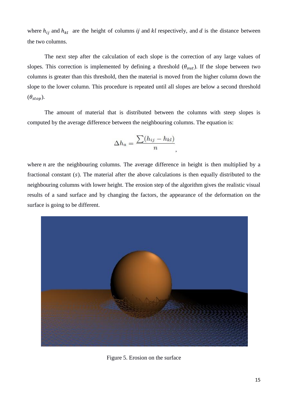where  $h_{ij}$  and  $h_{kl}$  are the height of columns ij and kl respectively, and d is the distance between the two columns.

The next step after the calculation of each slope is the correction of any large values of slopes. This correction is implemented by defining a threshold  $(\theta_{out})$ . If the slope between two columns is greater than this threshold, then the material is moved from the higher column down the slope to the lower column. This procedure is repeated until all slopes are below a second threshold  $(\theta_{\rm ston}).$ 

The amount of material that is distributed between the columns with steep slopes is computed by the average difference between the neighbouring columns. The equation is:

$$
\Delta h_a = \frac{\sum (h_{ij} - h_{kl})}{n}
$$

,

where  $n$  are the neighbouring columns. The average difference in height is then multiplied by a fractional constant  $(s)$ . The material after the above calculations is then equally distributed to the neighbouring columns with lower height. The erosion step of the algorithm gives the realistic visual results of a sand surface and by changing the factors, the appearance of the deformation on the surface is going to be different.



Figure 5. Erosion on the surface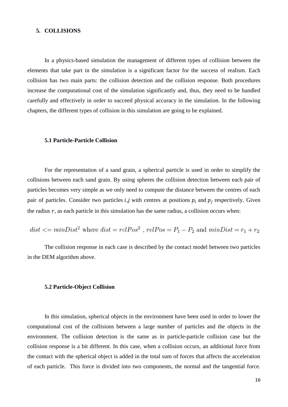#### **5. COLLISIONS**

In a physics-based simulation the management of different types of collision between the elements that take part in the simulation is a significant factor for the success of realism. Each collision has two main parts: the collision detection and the collision response. Both procedures increase the computational cost of the simulation significantly and, thus, they need to be handled carefully and effectively in order to succeed physical accuracy in the simulation. In the following chapters, the different types of collision in this simulation are going to be explained.

#### **5.1 Particle-Particle Collision**

For the representation of a sand grain, a spherical particle is used in order to simplify the collisions between each sand grain. By using spheres the collision detection between each pair of particles becomes very simple as we only need to compute the distance between the centres of each pair of particles. Consider two particles *i*, *j* with centres at positions  $p_i$  and  $p_j$  respectively. Given the radius  $r$ , as each particle in this simulation has the same radius, a collision occurs when:

$$
dist \leq minDist^2
$$
 where  $dist = relPos^2$ ,  $relPos = P_1 - P_2$  and  $minDist = r_1 + r_2$ 

The collision response in each case is described by the contact model between two particles in the DEM algorithm above.

#### **5.2 Particle-Object Collision**

In this simulation, spherical objects in the environment have been used in order to lower the computational cost of the collisions between a large number of particles and the objects in the environment. The collision detection is the same as in particle-particle collision case but the collision response is a bit different. In this case, when a collision occurs, an additional force from the contact with the spherical object is added in the total sum of forces that affects the acceleration of each particle. This force is divided into two components, the normal and the tangential force.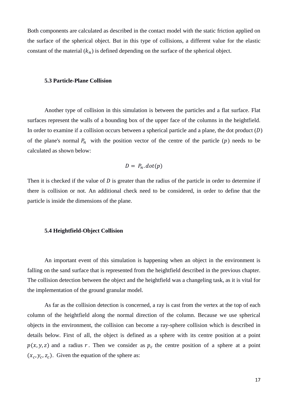Both components are calculated as described in the contact model with the static friction applied on the surface of the spherical object. But in this type of collisions, a different value for the elastic constant of the material  $(k_n)$  is defined depending on the surface of the spherical object.

#### **5.3 Particle-Plane Collision**

Another type of collision in this simulation is between the particles and a flat surface. Flat surfaces represent the walls of a bounding box of the upper face of the columns in the heightfield. In order to examine if a collision occurs between a spherical particle and a plane, the dot product  $(D)$ of the plane's normal  $P_n$  with the position vector of the centre of the particle (p) needs to be calculated as shown below:

$$
D = P_n \cdot dot(p)
$$

Then it is checked if the value of  $D$  is greater than the radius of the particle in order to determine if there is collision or not. An additional check need to be considered, in order to define that the particle is inside the dimensions of the plane.

#### **5.4 Heightfield-Object Collision**

An important event of this simulation is happening when an object in the environment is falling on the sand surface that is represented from the heightfield described in the previous chapter. The collision detection between the object and the heightfield was a changeling task, as it is vital for the implementation of the ground granular model.

As far as the collision detection is concerned, a ray is cast from the vertex at the top of each column of the heightfield along the normal direction of the column. Because we use spherical objects in the environment, the collision can become a ray-sphere collision which is described in details below. First of all, the object is defined as a sphere with its centre position at a point  $p(x, y, z)$  and a radius r. Then we consider as  $p_c$  the centre position of a sphere at a point  $(x_c, y_c, z_c)$ . Given the equation of the sphere as: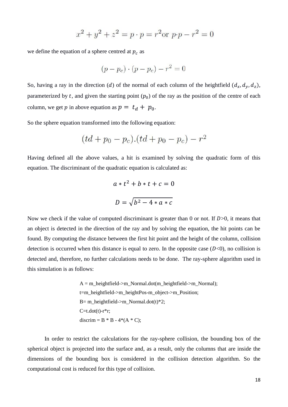$$
x^{2} + y^{2} + z^{2} = p \cdot p = r^{2} \text{or } p \cdot p - r^{2} = 0
$$

we define the equation of a sphere centred at  $p_c$  as

$$
(p - p_c) \cdot (p - p_c) - r^2 = 0
$$

So, having a ray in the direction (d) of the normal of each column of the heightfield  $(d_x, d_y, d_z)$ , parameterized by t, and given the starting point  $(p_0)$  of the ray as the position of the centre of each column, we get p in above equation as  $p = t_d + p_0$ .

So the sphere equation transformed into the following equation:

$$
(td + p_0 - p_c) \cdot (td + p_0 - p_c) - r^2
$$

Having defined all the above values, a hit is examined by solving the quadratic form of this equation. The discriminant of the quadratic equation is calculated as:

$$
a * t2 + b * t + c = 0
$$

$$
D = \sqrt{b2 - 4 * a * c}
$$

Now we check if the value of computed discriminant is greater than 0 or not. If  $D>0$ , it means that an object is detected in the direction of the ray and by solving the equation, the hit points can be found. By computing the distance between the first hit point and the height of the column, collision detection is occurred when this distance is equal to zero. In the opposite case  $(D<0)$ , no collision is detected and, therefore, no further calculations needs to be done. The ray-sphere algorithm used in this simulation is as follows:

> $A = m$  heightfield->m Normal.dot(m\_heightfield->m\_Normal); t=m\_heightfield->m\_heightPos-m\_object->m\_Position;  $B=$  m\_heightfield->m\_Normal.dot(t)\*2;  $C=t.dot(t)-r*r;$ discrim =  $B * B - 4 * (A * C)$ ;

In order to restrict the calculations for the ray-sphere collision, the bounding box of the spherical object is projected into the surface and, as a result, only the columns that are inside the dimensions of the bounding box is considered in the collision detection algorithm. So the computational cost is reduced for this type of collision.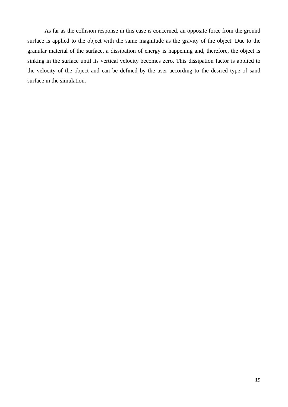As far as the collision response in this case is concerned, an opposite force from the ground surface is applied to the object with the same magnitude as the gravity of the object. Due to the granular material of the surface, a dissipation of energy is happening and, therefore, the object is sinking in the surface until its vertical velocity becomes zero. This dissipation factor is applied to the velocity of the object and can be defined by the user according to the desired type of sand surface in the simulation.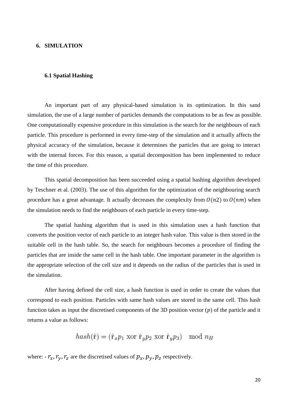# **6. SIMULATION**

#### **6.1 Spatial Hashing**

An important part of any physical-based simulation is its optimization. In this sand simulation, the use of a large number of particles demands the computations to be as few as possible. One computationally expensive procedure in this simulation is the search for the neighbours of each particle. This procedure is performed in every time-step of the simulation and it actually affects the physical accuracy of the simulation, because it determines the particles that are going to interact with the internal forces. For this reason, a spatial decomposition has been implemented to reduce the time of this procedure.

This spatial decomposition has been succeeded using a spatial hashing algorithm developed by Teschner et al. (2003). The use of this algorithm for the optimization of the neighbouring search procedure has a great advantage. It actually decreases the complexity from  $O(n2)$  to  $O(nm)$  when the simulation needs to find the neighbours of each particle in every time-step.

The spatial hashing algorithm that is used in this simulation uses a hash function that converts the position vector of each particle to an integer hash value. This value is then stored in the suitable cell in the hash table. So, the search for neighbours becomes a procedure of finding the particles that are inside the same cell in the hash table. One important parameter in the algorithm is the appropriate selection of the cell size and it depends on the radius of the particles that is used in the simulation.

After having defined the cell size, a hash function is used in order to create the values that correspond to each position. Particles with same hash values are stored in the same cell. This hash function takes as input the discretised components of the 3D position vector  $(p)$  of the particle and it returns a value as follows:

$$
hash(\hat{r}) = (\hat{r}_x p_1 \text{ xor } \hat{r}_y p_2 \text{ xor } \hat{r}_y p_3) \mod n_H
$$

where:  $-r_x, r_y, r_z$  are the discretised values of  $p_x, p_y, p_z$  respectively.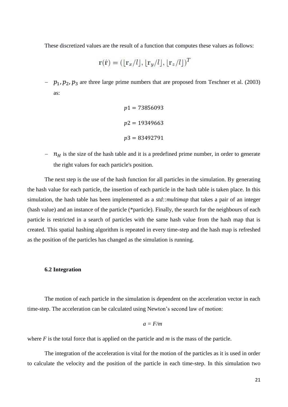These discretized values are the result of a function that computes these values as follows:

$$
\mathbf{r}(\hat{\mathbf{r}}) = (\lfloor \mathbf{r}_x/l \rfloor, \lfloor \mathbf{r}_y/l \rfloor, \lfloor \mathbf{r}_z/l \rfloor)^T
$$

-  $p_1, p_2, p_3$  are three large prime numbers that are proposed from Teschner et al. (2003) as:

$$
p1 = 73856093
$$

$$
p2 = 19349663
$$

$$
p3 = 83492791
$$

 $\eta$  is the size of the hash table and it is a predefined prime number, in order to generate the right values for each particle's position.

The next step is the use of the hash function for all particles in the simulation. By generating the hash value for each particle, the insertion of each particle in the hash table is taken place. In this simulation, the hash table has been implemented as a *std::multimap* that takes a pair of an integer (hash value) and an instance of the particle (\*particle). Finally, the search for the neighbours of each particle is restricted in a search of particles with the same hash value from the hash map that is created. This spatial hashing algorithm is repeated in every time-step and the hash map is refreshed as the position of the particles has changed as the simulation is running.

## **6.2 Integration**

The motion of each particle in the simulation is dependent on the acceleration vector in each time-step. The acceleration can be calculated using Newton's second law of motion:

$$
a = F/m
$$

where *F* is the total force that is applied on the particle and *m* is the mass of the particle.

The integration of the acceleration is vital for the motion of the particles as it is used in order to calculate the velocity and the position of the particle in each time-step. In this simulation two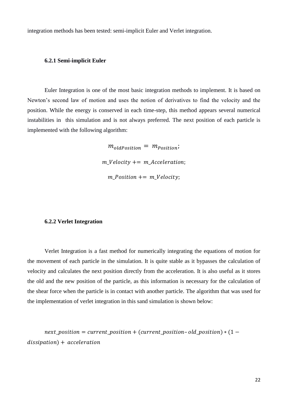integration methods has been tested: semi-implicit Euler and Verlet integration.

#### **6.2.1 Semi-implicit Euler**

Euler Integration is one of the most basic integration methods to implement. It is based on Newton's second law of motion and uses the notion of derivatives to find the velocity and the position. While the energy is conserved in each time-step, this method appears several numerical instabilities in this simulation and is not always preferred. The next position of each particle is implemented with the following algorithm:

> $m_{oldPosition} = m_{Position}$ ;  $m$  Velocity  $+= m$  Acceleration;  $m$  Position  $+= m$  Velocity;

# **6.2.2 Verlet Integration**

Verlet Integration is a fast method for numerically integrating the equations of motion for the movement of each particle in the simulation. It is quite stable as it bypasses the calculation of velocity and calculates the next position directly from the acceleration. It is also useful as it stores the old and the new position of the particle, as this information is necessary for the calculation of the shear force when the particle is in contact with another particle. The algorithm that was used for the implementation of verlet integration in this sand simulation is shown below:

next\_position = current\_position + (current\_position-old\_position)  $*(1$  $dissipation) + acceleration$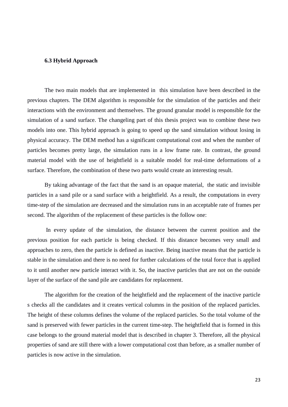#### **6.3 Hybrid Approach**

The two main models that are implemented in this simulation have been described in the previous chapters. The DEM algorithm is responsible for the simulation of the particles and their interactions with the environment and themselves. The ground granular model is responsible for the simulation of a sand surface. The changeling part of this thesis project was to combine these two models into one. This hybrid approach is going to speed up the sand simulation without losing in physical accuracy. The DEM method has a significant computational cost and when the number of particles becomes pretty large, the simulation runs in a low frame rate. In contrast, the ground material model with the use of heightfield is a suitable model for real-time deformations of a surface. Therefore, the combination of these two parts would create an interesting result.

By taking advantage of the fact that the sand is an opaque material, the static and invisible particles in a sand pile or a sand surface with a heightfield. As a result, the computations in every time-step of the simulation are decreased and the simulation runs in an acceptable rate of frames per second. The algorithm of the replacement of these particles is the follow one:

In every update of the simulation, the distance between the current position and the previous position for each particle is being checked. If this distance becomes very small and approaches to zero, then the particle is defined as inactive. Being inactive means that the particle is stable in the simulation and there is no need for further calculations of the total force that is applied to it until another new particle interact with it. So, the inactive particles that are not on the outside layer of the surface of the sand pile are candidates for replacement.

The algorithm for the creation of the heightfield and the replacement of the inactive particle s checks all the candidates and it creates vertical columns in the position of the replaced particles. The height of these columns defines the volume of the replaced particles. So the total volume of the sand is preserved with fewer particles in the current time-step. The heightfield that is formed in this case belongs to the ground material model that is described in chapter 3. Therefore, all the physical properties of sand are still there with a lower computational cost than before, as a smaller number of particles is now active in the simulation.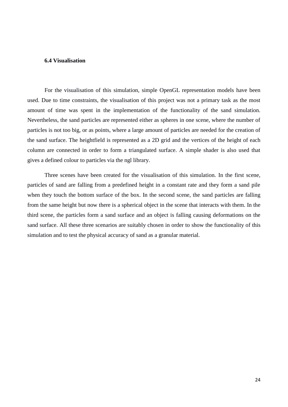# **6.4 Visualisation**

For the visualisation of this simulation, simple OpenGL representation models have been used. Due to time constraints, the visualisation of this project was not a primary task as the most amount of time was spent in the implementation of the functionality of the sand simulation. Nevertheless, the sand particles are represented either as spheres in one scene, where the number of particles is not too big, or as points, where a large amount of particles are needed for the creation of the sand surface. The heightfield is represented as a 2D grid and the vertices of the height of each column are connected in order to form a triangulated surface. A simple shader is also used that gives a defined colour to particles via the ngl library.

Three scenes have been created for the visualisation of this simulation. In the first scene, particles of sand are falling from a predefined height in a constant rate and they form a sand pile when they touch the bottom surface of the box. In the second scene, the sand particles are falling from the same height but now there is a spherical object in the scene that interacts with them. In the third scene, the particles form a sand surface and an object is falling causing deformations on the sand surface. All these three scenarios are suitably chosen in order to show the functionality of this simulation and to test the physical accuracy of sand as a granular material.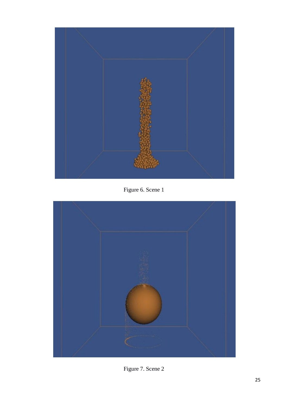

Figure 6. Scene 1



Figure 7. Scene 2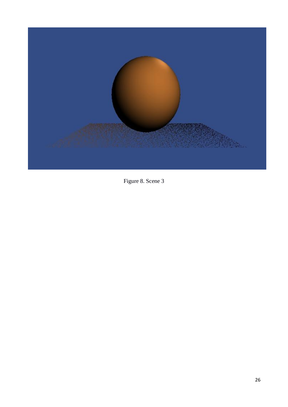

Figure 8. Scene 3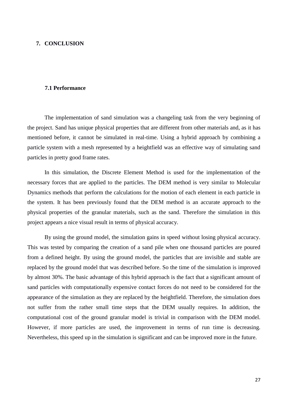#### **7. CONCLUSION**

#### **7.1 Performance**

The implementation of sand simulation was a changeling task from the very beginning of the project. Sand has unique physical properties that are different from other materials and, as it has mentioned before, it cannot be simulated in real-time. Using a hybrid approach by combining a particle system with a mesh represented by a heightfield was an effective way of simulating sand particles in pretty good frame rates.

In this simulation, the Discrete Element Method is used for the implementation of the necessary forces that are applied to the particles. The DEM method is very similar to Molecular Dynamics methods that perform the calculations for the motion of each element in each particle in the system. It has been previously found that the DEM method is an accurate approach to the physical properties of the granular materials, such as the sand. Therefore the simulation in this project appears a nice visual result in terms of physical accuracy.

By using the ground model, the simulation gains in speed without losing physical accuracy. This was tested by comparing the creation of a sand pile when one thousand particles are poured from a defined height. By using the ground model, the particles that are invisible and stable are replaced by the ground model that was described before. So the time of the simulation is improved by almost 30%. The basic advantage of this hybrid approach is the fact that a significant amount of sand particles with computationally expensive contact forces do not need to be considered for the appearance of the simulation as they are replaced by the heightfield. Therefore, the simulation does not suffer from the rather small time steps that the DEM usually requires. In addition, the computational cost of the ground granular model is trivial in comparison with the DEM model. However, if more particles are used, the improvement in terms of run time is decreasing. Nevertheless, this speed up in the simulation is significant and can be improved more in the future.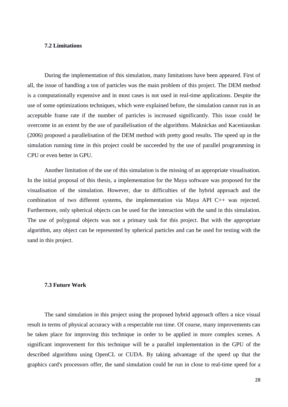# **7.2 Limitations**

During the implementation of this simulation, many limitations have been appeared. First of all, the issue of handling a ton of particles was the main problem of this project. The DEM method is a computationally expensive and in most cases is not used in real-time applications. Despite the use of some optimizations techniques, which were explained before, the simulation cannot run in an acceptable frame rate if the number of particles is increased significantly. This issue could be overcome in an extent by the use of parallelisation of the algorithms. Maknickas and Kaceniauskas (2006) proposed a parallelisation of the DEM method with pretty good results. The speed up in the simulation running time in this project could be succeeded by the use of parallel programming in CPU or even better in GPU.

Another limitation of the use of this simulation is the missing of an appropriate visualisation. In the initial proposal of this thesis, a implementation for the Maya software was proposed for the visualisation of the simulation. However, due to difficulties of the hybrid approach and the combination of two different systems, the implementation via Maya API C++ was rejected. Furthermore, only spherical objects can be used for the interaction with the sand in this simulation. The use of polygonal objects was not a primary task for this project. But with the appropriate algorithm, any object can be represented by spherical particles and can be used for testing with the sand in this project.

#### **7.3 Future Work**

The sand simulation in this project using the proposed hybrid approach offers a nice visual result in terms of physical accuracy with a respectable run time. Of course, many improvements can be taken place for improving this technique in order to be applied in more complex scenes. A significant improvement for this technique will be a parallel implementation in the GPU of the described algorithms using OpenCL or CUDA. By taking advantage of the speed up that the graphics card's processors offer, the sand simulation could be run in close to real-time speed for a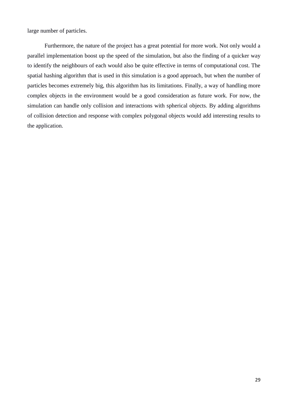large number of particles.

Furthermore, the nature of the project has a great potential for more work. Not only would a parallel implementation boost up the speed of the simulation, but also the finding of a quicker way to identify the neighbours of each would also be quite effective in terms of computational cost. The spatial hashing algorithm that is used in this simulation is a good approach, but when the number of particles becomes extremely big, this algorithm has its limitations. Finally, a way of handling more complex objects in the environment would be a good consideration as future work. For now, the simulation can handle only collision and interactions with spherical objects. By adding algorithms of collision detection and response with complex polygonal objects would add interesting results to the application.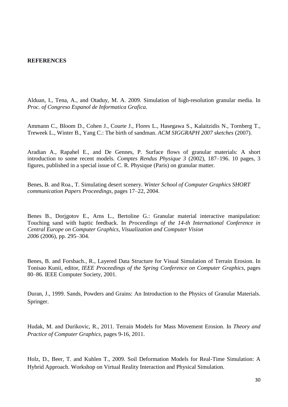#### **REFERENCES**

Alduan, I., Tena, A., and Otaduy, M. A. 2009. Simulation of high-resolution granular media. In *Proc. of Congreso Espanol de Informatica Grafica*.

Ammann C., Bloom D., Cohen J., Courte J., Flores L., Hasegawa S., Kalaitzidis N., Tornberg T., Treweek L., Winter B., Yang C.: The birth of sandman. *ACM SIGGRAPH 2007 sketches* (2007).

Aradian A., Rapahel E., and De Gennes, P. Surface flows of granular materials: A short introduction to some recent models. *Comptes Rendus Physique 3* (2002), 187–196. 10 pages, 3 figures, published in a special issue of C. R. Physique (Paris) on granular matter.

Benes, B. and Roa., T. Simulating desert scenery. *Winter School of Computer Graphics SHORT communication Papers Proceedings*, pages 17–22, 2004.

Benes B., Dorjgotov E., Arns L., Bertoline G.: Granular material interactive manipulation: Touching sand with haptic feedback. In *Proceedings of the 14-th International Conference in Central Europe on Computer Graphics, Visualization and Computer Vision 2006* (2006), pp. 295–304.

Benes, B. and Forsbach., R., Layered Data Structure for Visual Simulation of Terrain Erosion. In Tonisao Kunii, editor, *IEEE Proceedings of the Spring Conference on Computer Graphics*, pages 80–86. IEEE Computer Society, 2001.

Duran, J., 1999. Sands, Powders and Grains: An Introduction to the Physics of Granular Materials. Springer.

Hudak, M. and Durikovic, R., 2011. Terrain Models for Mass Movement Erosion. In *Theory and Practice of Computer Graphics,* pages 9-16, 2011.

Holz, D., Beer, T. and Kuhlen T., 2009. Soil Deformation Models for Real-Time Simulation: A Hybrid Approach. Workshop on Virtual Reality Interaction and Physical Simulation.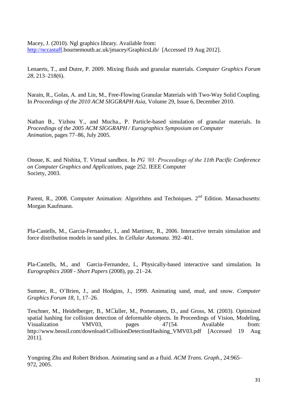Macey, J. (2010). Ngl graphics library. Available from: [http://nccastaff.](http://nccastaff/)bournemouth.ac.uk/jmacey/GraphicsLib/ [Accessed 19 Aug 2012].

Lenaerts, T., and Dutre, P. 2009. Mixing fluids and granular materials. *Computer Graphics Forum 28*, 213–218(6).

Narain, R., Golas, A. and Lin, M., Free-Flowing Granular Materials with Two-Way Solid Coupling*.* In *Proceedings of the 2010 ACM SIGGRAPH Asia*, Volume 29, Issue 6, December 2010.

Nathan B., Yizhou Y., and Mucha., P. Particle-based simulation of granular materials. In *Proceedings of the 2005 ACM SIGGRAPH / Eurographics Symposium on Computer Animation*, pages 77–86, July 2005.

Onoue, K. and Nishita, T. Virtual sandbox. In *PG '03: Proceedings of the 11th Pacific Conference on Computer Graphics and Applications*, page 252. IEEE Computer Society, 2003.

Parent, R., 2008. Computer Animation: Algorithms and Techniques. 2<sup>nd</sup> Edition. Massachusetts: Morgan Kaufmann.

Pla-Castells, M., Garcia-Fernandez, I., and Martinez, R., 2006. Interactive terrain simulation and force distribution models in sand piles. In *Cellular Automata*. 392–401.

Pla-Castells, M., and Garcia-Fernandez, I., Physically-based interactive sand simulation. In *Eurographics 2008 - Short Papers* (2008), pp. 21–24.

Sumner, R., O'Brien, J., and Hodgins, J., 1999. Animating sand, mud, and snow. *Computer Graphics Forum 18*, 1, 17–26.

Teschner, M., Heidelberger, B., M• uller, M., Pomeranets, D., and Gross, M. (2003). Optimized spatial hashing for collision detection of deformable objects. In Proceedings of Vision, Modeling, Visualization VMV03, pages 47{54. Available from: http://www.beosil.com/download/CollisionDetectionHashing\_VMV03.pdf [Accessed 19 Aug 2011].

Yongning Zhu and Robert Bridson. Animating sand as a fluid. *ACM Trans. Graph*., 24:965– 972, 2005.